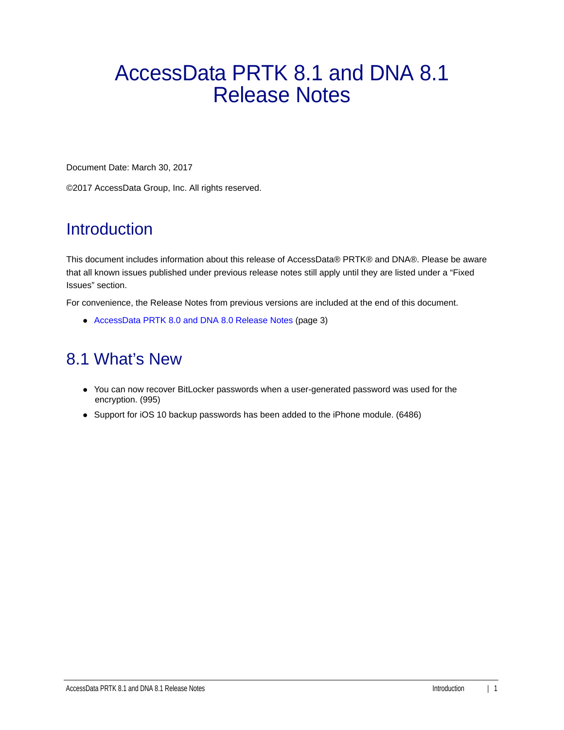# AccessData PRTK 8.1 and DNA 8.1 Release Notes

Document Date: March 30, 2017

©2017 AccessData Group, Inc. All rights reserved.

### **Introduction**

This document includes information about this release of AccessData® PRTK® and DNA®. Please be aware that all known issues published under previous release notes still apply until they are listed under a "Fixed Issues" section.

For convenience, the Release Notes from previous versions are included at the end of this document.

[AccessData PRTK 8.0 and DNA 8.0 Release Notes \(page 3\)](#page-2-0)

### 8.1 What's New

- You can now recover BitLocker passwords when a user-generated password was used for the encryption. (995)
- Support for iOS 10 backup passwords has been added to the iPhone module. (6486)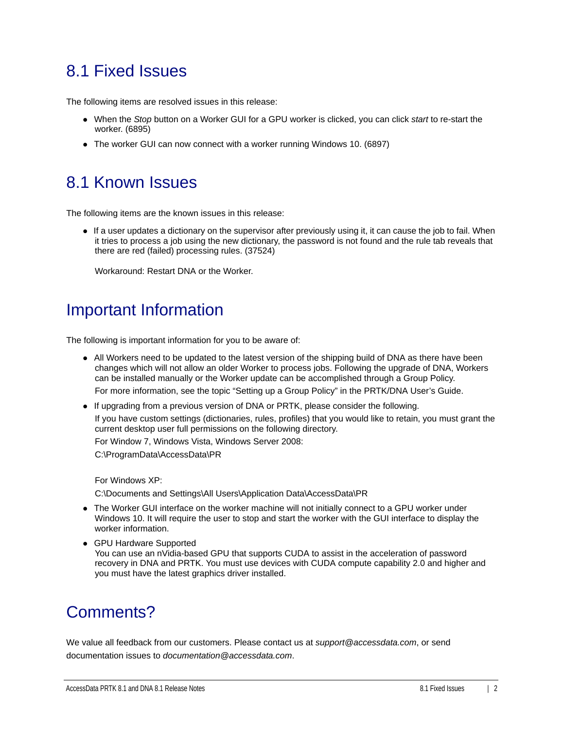### 8.1 Fixed Issues

The following items are resolved issues in this release:

- When the *Stop* button on a Worker GUI for a GPU worker is clicked, you can click *start* to re-start the worker. (6895)
- The worker GUI can now connect with a worker running Windows 10. (6897)

### 8.1 Known Issues

The following items are the known issues in this release:

If a user updates a dictionary on the supervisor after previously using it, it can cause the job to fail. When it tries to process a job using the new dictionary, the password is not found and the rule tab reveals that there are red (failed) processing rules. (37524)

Workaround: Restart DNA or the Worker.

### Important Information

The following is important information for you to be aware of:

All Workers need to be updated to the latest version of the shipping build of DNA as there have been changes which will not allow an older Worker to process jobs. Following the upgrade of DNA, Workers can be installed manually or the Worker update can be accomplished through a Group Policy.

For more information, see the topic "Setting up a Group Policy" in the PRTK/DNA User's Guide.

If upgrading from a previous version of DNA or PRTK, please consider the following.

If you have custom settings (dictionaries, rules, profiles) that you would like to retain, you must grant the current desktop user full permissions on the following directory.

For Window 7, Windows Vista, Windows Server 2008:

C:\ProgramData\AccessData\PR

For Windows XP:

C:\Documents and Settings\All Users\Application Data\AccessData\PR

- The Worker GUI interface on the worker machine will not initially connect to a GPU worker under Windows 10. It will require the user to stop and start the worker with the GUI interface to display the worker information.
- GPU Hardware Supported You can use an nVidia-based GPU that supports CUDA to assist in the acceleration of password recovery in DNA and PRTK. You must use devices with CUDA compute capability 2.0 and higher and you must have the latest graphics driver installed.

### Comments?

We value all feedback from our customers. Please contact us at *support@accessdata.com*, or send documentation issues to *documentation@accessdata.com*.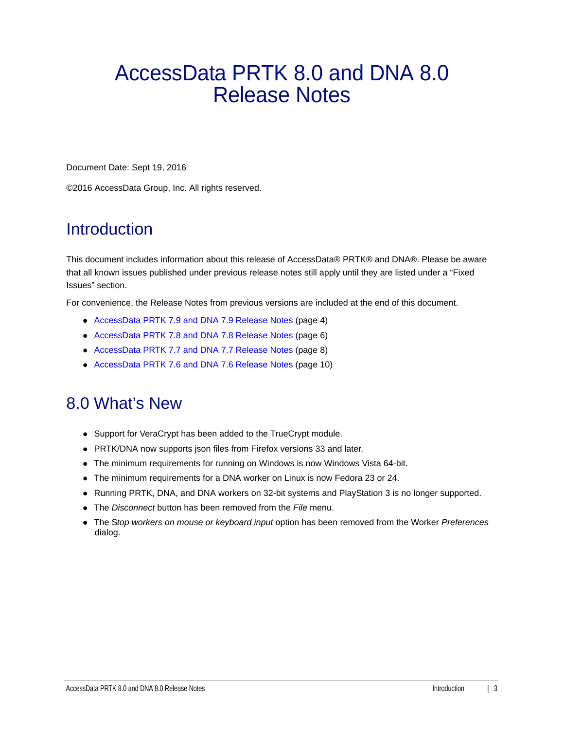# <span id="page-2-0"></span>AccessData PRTK 8.0 and DNA 8.0 Release Notes

Document Date: Sept 19, 2016

©2016 AccessData Group, Inc. All rights reserved.

### **Introduction**

This document includes information about this release of AccessData® PRTK® and DNA®. Please be aware that all known issues published under previous release notes still apply until they are listed under a "Fixed Issues" section.

For convenience, the Release Notes from previous versions are included at the end of this document.

- AccessData PRTK 7.9 and DNA 7.9 Release Notes (page 4)
- AccessData PRTK 7.8 and DNA 7.8 Release Notes (page 6)
- AccessData PRTK 7.7 and DNA 7.7 Release Notes (page 8)
- AccessData PRTK 7.6 and DNA 7.6 Release Notes (page 10)

### 8.0 What's New

- Support for VeraCrypt has been added to the TrueCrypt module.
- PRTK/DNA now supports json files from Firefox versions 33 and later.
- The minimum requirements for running on Windows is now Windows Vista 64-bit.
- The minimum requirements for a DNA worker on Linux is now Fedora 23 or 24.
- Running PRTK, DNA, and DNA workers on 32-bit systems and PlayStation 3 is no longer supported.
- The *Disconnect* button has been removed from the *File* menu.
- The S*top workers on mouse or keyboard input* option has been removed from the Worker *Preferences* dialog.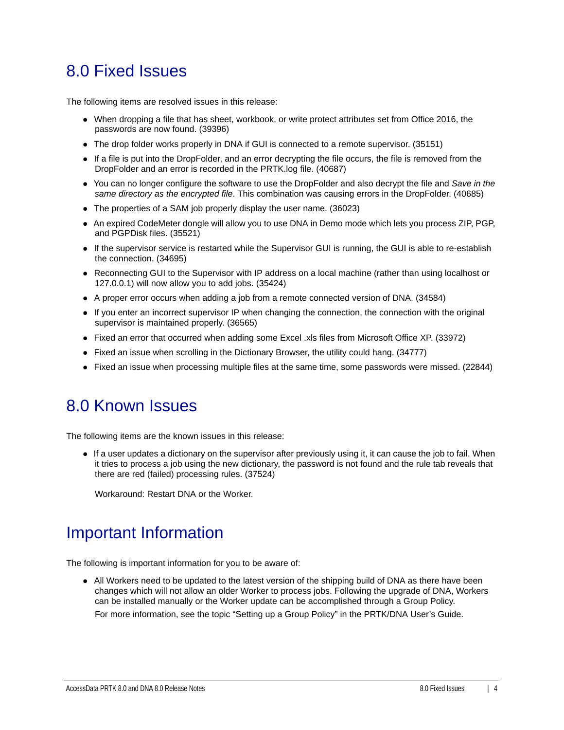### 8.0 Fixed Issues

The following items are resolved issues in this release:

- When dropping a file that has sheet, workbook, or write protect attributes set from Office 2016, the passwords are now found. (39396)
- The drop folder works properly in DNA if GUI is connected to a remote supervisor. (35151)
- If a file is put into the DropFolder, and an error decrypting the file occurs, the file is removed from the DropFolder and an error is recorded in the PRTK.log file. (40687)
- You can no longer configure the software to use the DropFolder and also decrypt the file and *Save in the same directory as the encrypted file*. This combination was causing errors in the DropFolder. (40685)
- The properties of a SAM job properly display the user name. (36023)
- An expired CodeMeter dongle will allow you to use DNA in Demo mode which lets you process ZIP, PGP, and PGPDisk files. (35521)
- If the supervisor service is restarted while the Supervisor GUI is running, the GUI is able to re-establish the connection. (34695)
- Reconnecting GUI to the Supervisor with IP address on a local machine (rather than using localhost or 127.0.0.1) will now allow you to add jobs. (35424)
- A proper error occurs when adding a job from a remote connected version of DNA. (34584)
- If you enter an incorrect supervisor IP when changing the connection, the connection with the original supervisor is maintained properly. (36565)
- Fixed an error that occurred when adding some Excel .xls files from Microsoft Office XP. (33972)
- Fixed an issue when scrolling in the Dictionary Browser, the utility could hang. (34777)
- Fixed an issue when processing multiple files at the same time, some passwords were missed. (22844)

#### 8.0 Known Issues

The following items are the known issues in this release:

If a user updates a dictionary on the supervisor after previously using it, it can cause the job to fail. When it tries to process a job using the new dictionary, the password is not found and the rule tab reveals that there are red (failed) processing rules. (37524)

Workaround: Restart DNA or the Worker.

### Important Information

The following is important information for you to be aware of:

All Workers need to be updated to the latest version of the shipping build of DNA as there have been changes which will not allow an older Worker to process jobs. Following the upgrade of DNA, Workers can be installed manually or the Worker update can be accomplished through a Group Policy.

For more information, see the topic "Setting up a Group Policy" in the PRTK/DNA User's Guide.